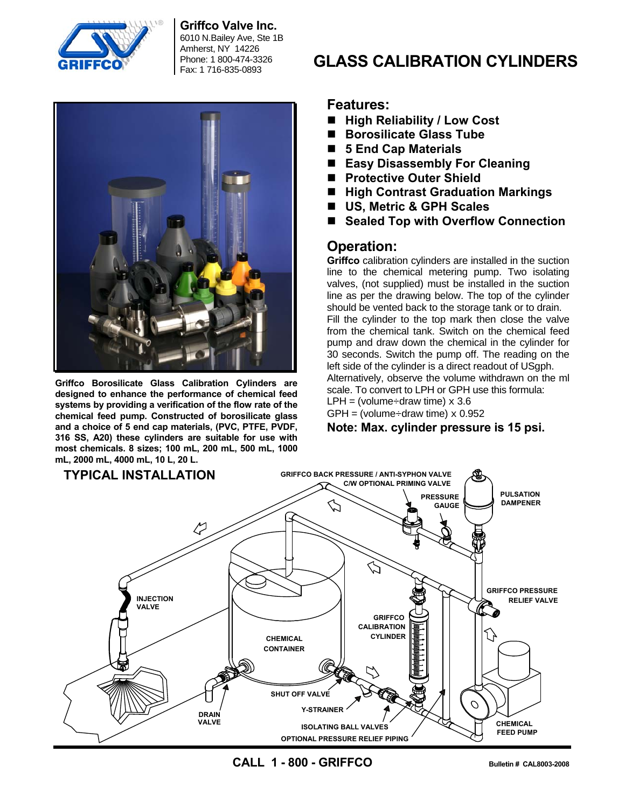

**Griffco Valve Inc.** 

6010 N.Bailey Ave, Ste 1B Amherst, NY 14226 Phone: 1 800-474-3326



**Griffco Borosilicate Glass Calibration Cylinders are designed to enhance the performance of chemical feed systems by providing a verification of the flow rate of the chemical feed pump. Constructed of borosilicate glass and a choice of 5 end cap materials, (PVC, PTFE, PVDF, 316 SS, A20) these cylinders are suitable for use with most chemicals. 8 sizes; 100 mL, 200 mL, 500 mL, 1000 mL, 2000 mL, 4000 mL, 10 L, 20 L.** 

# Fax: 1 716-835-0893 **GLASS CALIBRATION CYLINDERS**

#### **Features:**

- High Reliability / Low Cost
- Borosilicate Glass Tube
- 5 End Cap Materials
- **Easy Disassembly For Cleaning**
- Protective Outer Shield
- **High Contrast Graduation Markings**
- **US, Metric & GPH Scales**
- Sealed Top with Overflow Connection

### **Operation:**

**Griffco** calibration cylinders are installed in the suction line to the chemical metering pump. Two isolating valves, (not supplied) must be installed in the suction line as per the drawing below. The top of the cylinder should be vented back to the storage tank or to drain. Fill the cylinder to the top mark then close the valve from the chemical tank. Switch on the chemical feed pump and draw down the chemical in the cylinder for 30 seconds. Switch the pump off. The reading on the left side of the cylinder is a direct readout of USgph.

Alternatively, observe the volume withdrawn on the ml scale. To convert to LPH or GPH use this formula:

LPH = (volume÷draw time)  $\times$  3.6 GPH = (volume÷draw time)  $\times$  0.952

**Note: Max. cylinder pressure is 15 psi.**



**CALL 1 - 800 - GRIFFCO Bulletin # CAL8003-2008**